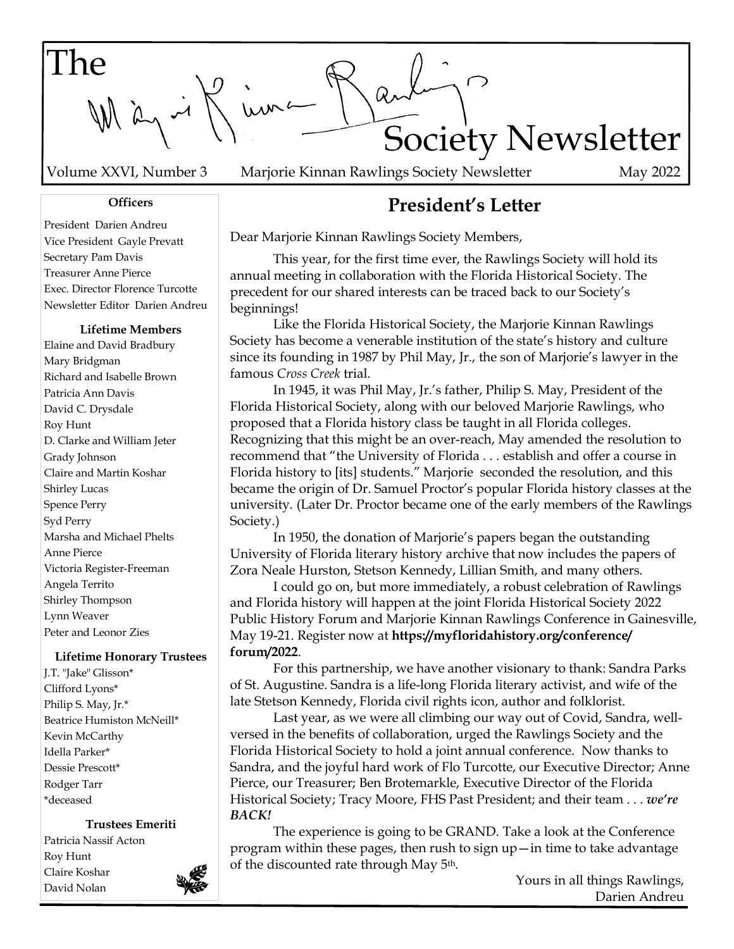The Kima Society Newsletter

Volume XXVI, Number 3 May 2022 Marjorie Kinnan Rawlings Society Newsletter

#### **Officers**

President Darien Andreu Vice President Gayle Prevatt Secretary Pam Davis Treasurer Anne Pierce Exec. Director Florence Turcotte Newsletter Editor Darien Andreu

#### **Lifetime Members**

Elaine and David Bradbury Mary Bridgman Richard and Isabelle Brown Patricia Ann Davis David C. Drysdale Roy Hunt D. Clarke and William Jeter Grady Johnson Claire and Martin Koshar Shirley Lucas Spence Perry Syd Perry Marsha and Michael Phelts Anne Pierce Victoria Register-Freeman Angela Territo Shirley Thompson Lynn Weaver Peter and Leonor Zies

#### **Lifetime Honorary Trustees**

J.T. "Jake" Glisson\* Clifford Lyons\* Philip S. May, Jr.\* Beatrice Humiston McNeill\* Kevin McCarthy Idella Parker\* Dessie Prescott\* Rodger Tarr \*deceased

#### **Trustees Emeriti**

Patricia Nassif Acton Roy Hunt Claire Koshar David Nolan



# **President's Letter**

Dear Marjorie Kinnan Rawlings Society Members,

 This year, for the first time ever, the Rawlings Society will hold its annual meeting in collaboration with the Florida Historical Society. The precedent for our shared interests can be traced back to our Society's beginnings!

 Like the Florida Historical Society, the Marjorie Kinnan Rawlings Society has become a venerable institution of the state's history and culture since its founding in 1987 by Phil May, Jr., the son of Marjorie's lawyer in the famous *Cross Creek* trial.

 In 1945, it was Phil May, Jr.'s father, Philip S. May, President of the Florida Historical Society, along with our beloved Marjorie Rawlings, who proposed that a Florida history class be taught in all Florida colleges. Recognizing that this might be an over-reach, May amended the resolution to recommend that "the University of Florida . . . establish and offer a course in Florida history to [its] students." Marjorie seconded the resolution, and this became the origin of Dr. Samuel Proctor's popular Florida history classes at the university. (Later Dr. Proctor became one of the early members of the Rawlings Society.)

 In 1950, the donation of Marjorie's papers began the outstanding University of Florida literary history archive that now includes the papers of Zora Neale Hurston, Stetson Kennedy, Lillian Smith, and many others.

 I could go on, but more immediately, a robust celebration of Rawlings and Florida history will happen at the joint Florida Historical Society 2022 Public History Forum and Marjorie Kinnan Rawlings Conference in Gainesville, May 19-21. Register now at **https://myfloridahistory.org/conference/ forum/2022**.

 For this partnership, we have another visionary to thank: Sandra Parks of St. Augustine. Sandra is a life-long Florida literary activist, and wife of the late Stetson Kennedy, Florida civil rights icon, author and folklorist.

 Last year, as we were all climbing our way out of Covid, Sandra, wellversed in the benefits of collaboration, urged the Rawlings Society and the Florida Historical Society to hold a joint annual conference. Now thanks to Sandra, and the joyful hard work of Flo Turcotte, our Executive Director; Anne Pierce, our Treasurer; Ben Brotemarkle, Executive Director of the Florida Historical Society; Tracy Moore, FHS Past President; and their team . . . *we're BACK!*

The experience is going to be GRAND. Take a look at the Conference program within these pages, then rush to sign up—in time to take advantage of the discounted rate through May 5th.

Yours in all things Rawlings, Darien Andreu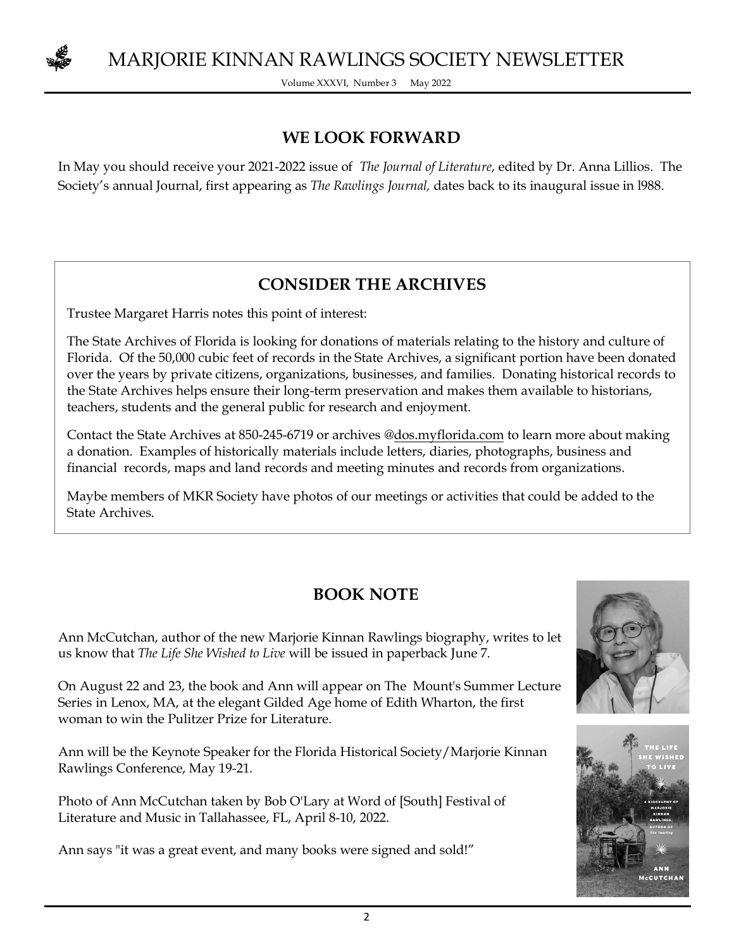

Volume XXXVI, Number 3 May 2022

### **WE LOOK FORWARD**

In May you should receive your 2021-2022 issue of *The Journal of Literature*, edited by Dr. Anna Lillios. The Society's annual Journal, first appearing as *The Rawlings Journal,* dates back to its inaugural issue in l988.

## **CONSIDER THE ARCHIVES**

Trustee Margaret Harris notes this point of interest:

The State Archives of Florida is looking for donations of materials relating to the history and culture of Florida. Of the 50,000 cubic feet of records in the State Archives, a significant portion have been donated over the years by private citizens, organizations, businesses, and families. Donating historical records to the State Archives helps ensure their long-term preservation and makes them available to historians, teachers, students and the general public for research and enjoyment.

Contact the State Archives at 850-245-6719 or archives @dos.myflorida.com to learn more about making a donation. Examples of historically materials include letters, diaries, photographs, business and financial records, maps and land records and meeting minutes and records from organizations.

Maybe members of MKR Society have photos of our meetings or activities that could be added to the State Archives.

## **BOOK NOTE**

Ann McCutchan, author of the new Marjorie Kinnan Rawlings biography, writes to let us know that *The Life She Wished to Live* will be issued in paperback June 7.

On August 22 and 23, the book and Ann will appear on The Mount's Summer Lecture Series in Lenox, MA, at the elegant Gilded Age home of Edith Wharton, the first woman to win the Pulitzer Prize for Literature.

Ann will be the Keynote Speaker for the Florida Historical Society/Marjorie Kinnan Rawlings Conference, May 19-21.

Photo of Ann McCutchan taken by Bob O'Lary at Word of [South] Festival of Literature and Music in Tallahassee, FL, April 8-10, 2022.

Ann says "it was a great event, and many books were signed and sold!"



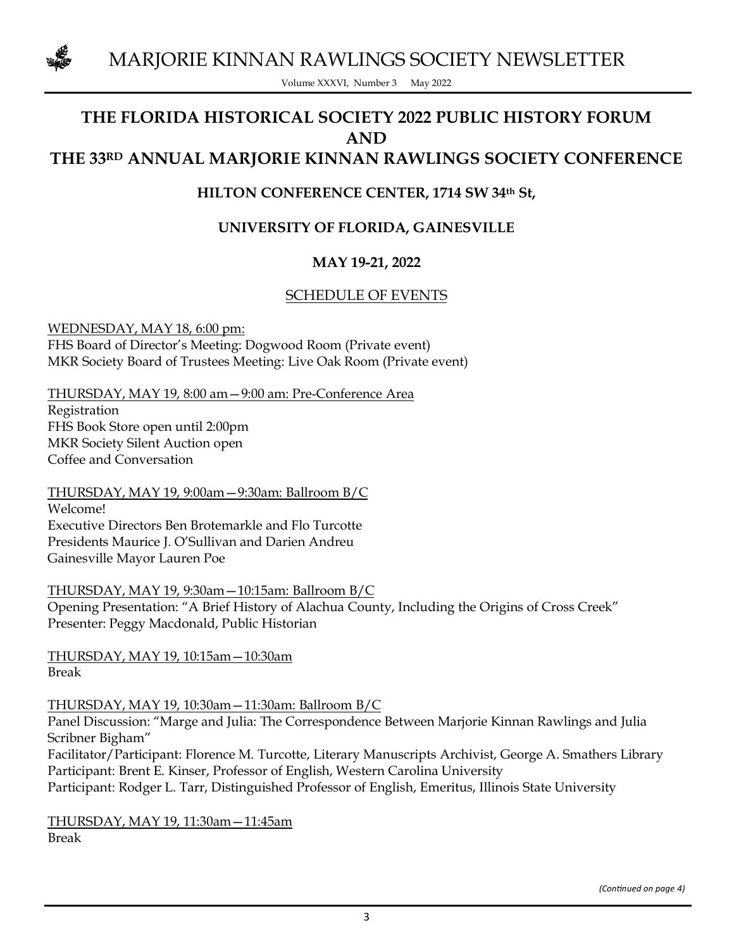

Volume XXXVI, Number 3 May 2022

### **THE FLORIDA HISTORICAL SOCIETY 2022 PUBLIC HISTORY FORUM AND THE 33RD ANNUAL MARJORIE KINNAN RAWLINGS SOCIETY CONFERENCE**

### **HILTON CONFERENCE CENTER, 1714 SW 34th St,**

### **UNIVERSITY OF FLORIDA, GAINESVILLE**

#### **MAY 19-21, 2022**

#### SCHEDULE OF EVENTS

WEDNESDAY, MAY 18, 6:00 pm: FHS Board of Director's Meeting: Dogwood Room (Private event) MKR Society Board of Trustees Meeting: Live Oak Room (Private event)

THURSDAY, MAY 19, 8:00 am—9:00 am: Pre-Conference Area Registration FHS Book Store open until 2:00pm MKR Society Silent Auction open Coffee and Conversation

THURSDAY, MAY 19, 9:00am—9:30am: Ballroom B/C Welcome! Executive Directors Ben Brotemarkle and Flo Turcotte Presidents Maurice J. O'Sullivan and Darien Andreu Gainesville Mayor Lauren Poe

THURSDAY, MAY 19, 9:30am—10:15am: Ballroom B/C Opening Presentation: "A Brief History of Alachua County, Including the Origins of Cross Creek" Presenter: Peggy Macdonald, Public Historian

THURSDAY, MAY 19, 10:15am—10:30am Break

THURSDAY, MAY 19, 10:30am—11:30am: Ballroom B/C

Panel Discussion: "Marge and Julia: The Correspondence Between Marjorie Kinnan Rawlings and Julia Scribner Bigham"

Facilitator/Participant: Florence M. Turcotte, Literary Manuscripts Archivist, George A. Smathers Library Participant: Brent E. Kinser, Professor of English, Western Carolina University Participant: Rodger L. Tarr, Distinguished Professor of English, Emeritus, Illinois State University

THURSDAY, MAY 19, 11:30am—11:45am Break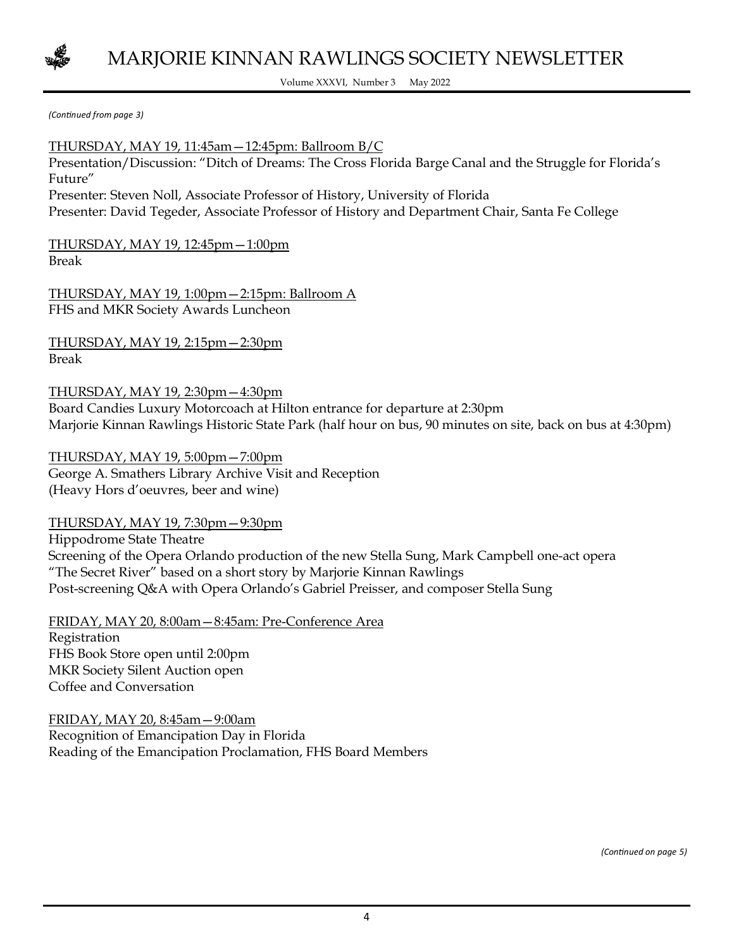

Volume XXXVI, Number 3 May 2022

*(Continued from page 3)* 

THURSDAY, MAY 19, 11:45am—12:45pm: Ballroom B/C Presentation/Discussion: "Ditch of Dreams: The Cross Florida Barge Canal and the Struggle for Florida's Future" Presenter: Steven Noll, Associate Professor of History, University of Florida Presenter: David Tegeder, Associate Professor of History and Department Chair, Santa Fe College

THURSDAY, MAY 19, 12:45pm—1:00pm Break

THURSDAY, MAY 19, 1:00pm—2:15pm: Ballroom A FHS and MKR Society Awards Luncheon

THURSDAY, MAY 19, 2:15pm—2:30pm Break

THURSDAY, MAY 19, 2:30pm—4:30pm

Board Candies Luxury Motorcoach at Hilton entrance for departure at 2:30pm Marjorie Kinnan Rawlings Historic State Park (half hour on bus, 90 minutes on site, back on bus at 4:30pm)

THURSDAY, MAY 19, 5:00pm—7:00pm George A. Smathers Library Archive Visit and Reception (Heavy Hors d'oeuvres, beer and wine)

THURSDAY, MAY 19, 7:30pm—9:30pm

Hippodrome State Theatre Screening of the Opera Orlando production of the new Stella Sung, Mark Campbell one-act opera "The Secret River" based on a short story by Marjorie Kinnan Rawlings Post-screening Q&A with Opera Orlando's Gabriel Preisser, and composer Stella Sung

FRIDAY, MAY 20, 8:00am—8:45am: Pre-Conference Area Registration FHS Book Store open until 2:00pm MKR Society Silent Auction open Coffee and Conversation

FRIDAY, MAY 20, 8:45am—9:00am Recognition of Emancipation Day in Florida Reading of the Emancipation Proclamation, FHS Board Members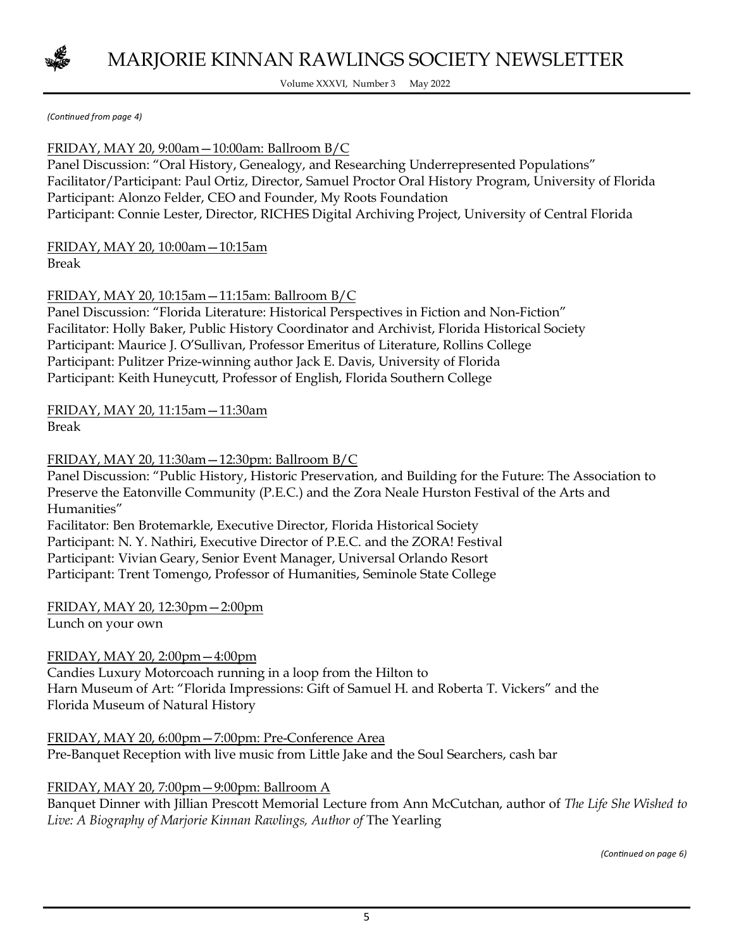

Volume XXXVI, Number 3 May 2022

*(Continued from page 4)* 

#### FRIDAY, MAY 20, 9:00am—10:00am: Ballroom B/C

Panel Discussion: "Oral History, Genealogy, and Researching Underrepresented Populations" Facilitator/Participant: Paul Ortiz, Director, Samuel Proctor Oral History Program, University of Florida Participant: Alonzo Felder, CEO and Founder, My Roots Foundation Participant: Connie Lester, Director, RICHES Digital Archiving Project, University of Central Florida

#### FRIDAY, MAY 20, 10:00am—10:15am Break

FRIDAY, MAY 20, 10:15am—11:15am: Ballroom B/C

Panel Discussion: "Florida Literature: Historical Perspectives in Fiction and Non-Fiction" Facilitator: Holly Baker, Public History Coordinator and Archivist, Florida Historical Society Participant: Maurice J. O'Sullivan, Professor Emeritus of Literature, Rollins College Participant: Pulitzer Prize-winning author Jack E. Davis, University of Florida Participant: Keith Huneycutt, Professor of English, Florida Southern College

FRIDAY, MAY 20, 11:15am—11:30am

Break

#### FRIDAY, MAY 20, 11:30am—12:30pm: Ballroom B/C

Panel Discussion: "Public History, Historic Preservation, and Building for the Future: The Association to Preserve the Eatonville Community (P.E.C.) and the Zora Neale Hurston Festival of the Arts and Humanities"

Facilitator: Ben Brotemarkle, Executive Director, Florida Historical Society Participant: N. Y. Nathiri, Executive Director of P.E.C. and the ZORA! Festival Participant: Vivian Geary, Senior Event Manager, Universal Orlando Resort Participant: Trent Tomengo, Professor of Humanities, Seminole State College

# FRIDAY, MAY 20, 12:30pm—2:00pm

Lunch on your own

#### FRIDAY, MAY 20, 2:00pm—4:00pm

Candies Luxury Motorcoach running in a loop from the Hilton to Harn Museum of Art: "Florida Impressions: Gift of Samuel H. and Roberta T. Vickers" and the Florida Museum of Natural History

FRIDAY, MAY 20, 6:00pm—7:00pm: Pre-Conference Area Pre-Banquet Reception with live music from Little Jake and the Soul Searchers, cash bar

#### FRIDAY, MAY 20, 7:00pm—9:00pm: Ballroom A

Banquet Dinner with Jillian Prescott Memorial Lecture from Ann McCutchan, author of *The Life She Wished to*  Live: A Biography of Marjorie Kinnan Rawlings, Author of The Yearling

*(Continued on page 6)*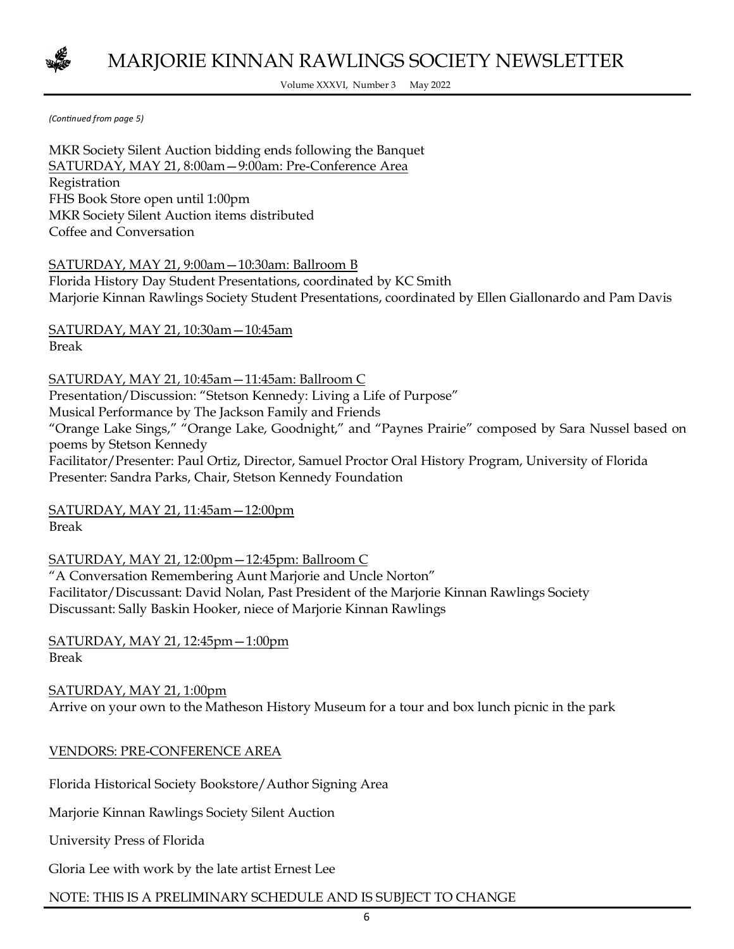

Volume XXXVI, Number 3 May 2022

*(Continued from page 5)* 

MKR Society Silent Auction bidding ends following the Banquet SATURDAY, MAY 21, 8:00am—9:00am: Pre-Conference Area Registration FHS Book Store open until 1:00pm MKR Society Silent Auction items distributed Coffee and Conversation

SATURDAY, MAY 21, 9:00am—10:30am: Ballroom B Florida History Day Student Presentations, coordinated by KC Smith Marjorie Kinnan Rawlings Society Student Presentations, coordinated by Ellen Giallonardo and Pam Davis

SATURDAY, MAY 21, 10:30am—10:45am Break

SATURDAY, MAY 21, 10:45am—11:45am: Ballroom C Presentation/Discussion: "Stetson Kennedy: Living a Life of Purpose" Musical Performance by The Jackson Family and Friends "Orange Lake Sings," "Orange Lake, Goodnight," and "Paynes Prairie" composed by Sara Nussel based on poems by Stetson Kennedy Facilitator/Presenter: Paul Ortiz, Director, Samuel Proctor Oral History Program, University of Florida Presenter: Sandra Parks, Chair, Stetson Kennedy Foundation

SATURDAY, MAY 21, 11:45am—12:00pm Break

SATURDAY, MAY 21, 12:00pm—12:45pm: Ballroom C

"A Conversation Remembering Aunt Marjorie and Uncle Norton" Facilitator/Discussant: David Nolan, Past President of the Marjorie Kinnan Rawlings Society Discussant: Sally Baskin Hooker, niece of Marjorie Kinnan Rawlings

SATURDAY, MAY 21, 12:45pm—1:00pm Break

SATURDAY, MAY 21, 1:00pm Arrive on your own to the Matheson History Museum for a tour and box lunch picnic in the park

VENDORS: PRE-CONFERENCE AREA

Florida Historical Society Bookstore/Author Signing Area

Marjorie Kinnan Rawlings Society Silent Auction

University Press of Florida

Gloria Lee with work by the late artist Ernest Lee

#### NOTE: THIS IS A PRELIMINARY SCHEDULE AND IS SUBJECT TO CHANGE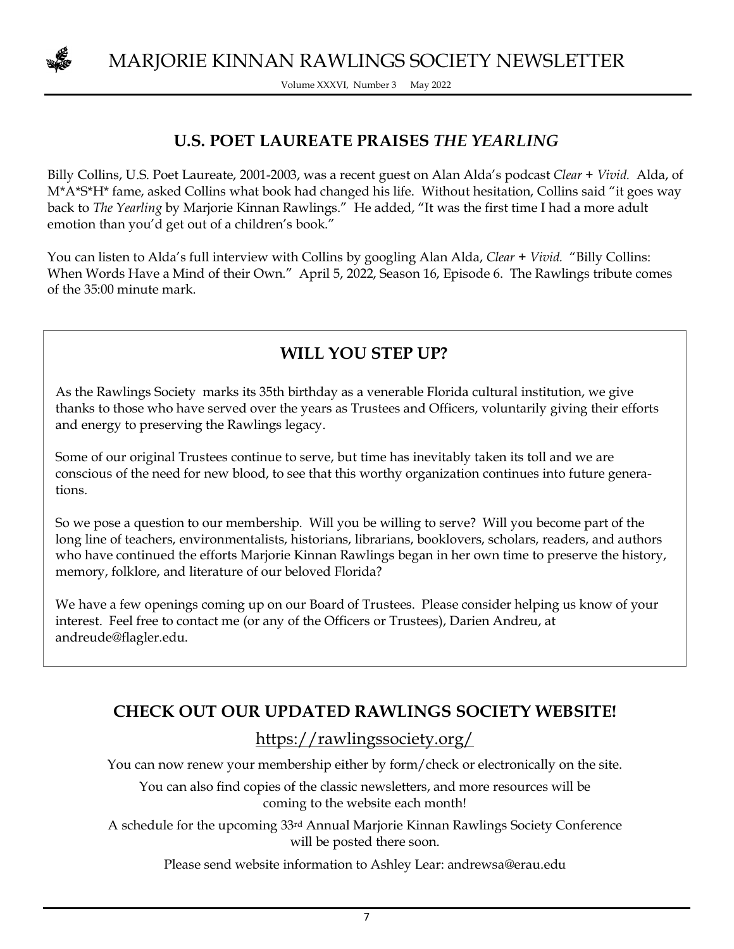

Volume XXXVI, Number 3 May 2022

## **U.S. POET LAUREATE PRAISES** *THE YEARLING*

Billy Collins, U.S. Poet Laureate, 2001-2003, was a recent guest on Alan Alda's podcast *Clear + Vivid.* Alda, of M\*A\*S\*H\* fame, asked Collins what book had changed his life. Without hesitation, Collins said "it goes way back to *The Yearling* by Marjorie Kinnan Rawlings." He added, "It was the first time I had a more adult emotion than you'd get out of a children's book."

You can listen to Alda's full interview with Collins by googling Alan Alda, *Clear + Vivid.* "Billy Collins: When Words Have a Mind of their Own." April 5, 2022, Season 16, Episode 6. The Rawlings tribute comes of the 35:00 minute mark.

## **WILL YOU STEP UP?**

As the Rawlings Society marks its 35th birthday as a venerable Florida cultural institution, we give thanks to those who have served over the years as Trustees and Officers, voluntarily giving their efforts and energy to preserving the Rawlings legacy.

Some of our original Trustees continue to serve, but time has inevitably taken its toll and we are conscious of the need for new blood, to see that this worthy organization continues into future generations.

So we pose a question to our membership. Will you be willing to serve? Will you become part of the long line of teachers, environmentalists, historians, librarians, booklovers, scholars, readers, and authors who have continued the efforts Marjorie Kinnan Rawlings began in her own time to preserve the history, memory, folklore, and literature of our beloved Florida?

We have a few openings coming up on our Board of Trustees. Please consider helping us know of your interest. Feel free to contact me (or any of the Officers or Trustees), Darien Andreu, at andreude@flagler.edu.

## **CHECK OUT OUR UPDATED RAWLINGS SOCIETY WEBSITE!**

https://rawlingssociety.org/

You can now renew your membership either by form/check or electronically on the site.

You can also find copies of the classic newsletters, and more resources will be coming to the website each month!

A schedule for the upcoming 33rd Annual Marjorie Kinnan Rawlings Society Conference will be posted there soon.

Please send website information to Ashley Lear: andrewsa@erau.edu